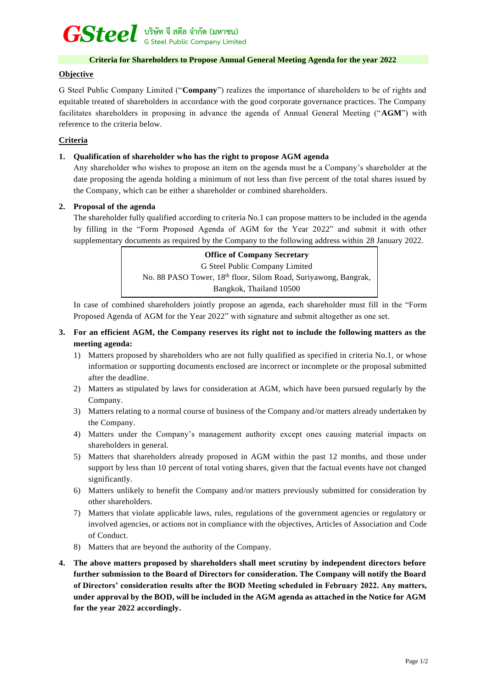# *GSteel* **บริษัท จี สตีล จำกัด (มหาชน) G Steel Public Company Limited**

### **Criteria for Shareholders to Propose Annual General Meeting Agenda for the year 2022**

#### **Objective**

G Steel Public Company Limited ("**Company**") realizes the importance of shareholders to be of rights and equitable treated of shareholders in accordance with the good corporate governance practices. The Company facilitates shareholders in proposing in advance the agenda of Annual General Meeting ("**AGM**") with reference to the criteria below.

## **Criteria**

### **1. Qualification of shareholder who has the right to propose AGM agenda**

Any shareholder who wishes to propose an item on the agenda must be a Company's shareholder at the date proposing the agenda holding a minimum of not less than five percent of the total shares issued by the Company, which can be either a shareholder or combined shareholders.

### **2. Proposal of the agenda**

The shareholder fully qualified according to criteria No.1 can propose matters to be included in the agenda by filling in the "Form Proposed Agenda of AGM for the Year 2022" and submit it with other supplementary documents as required by the Company to the following address within 28 January 2022.

> **Office of Company Secretary** G Steel Public Company Limited No. 88 PASO Tower, 18<sup>th</sup> floor, Silom Road, Suriyawong, Bangrak, Bangkok, Thailand 10500

In case of combined shareholders jointly propose an agenda, each shareholder must fill in the "Form Proposed Agenda of AGM for the Year 2022" with signature and submit altogether as one set.

- **3. For an efficient AGM, the Company reserves its right not to include the following matters as the meeting agenda:**
	- 1) Matters proposed by shareholders who are not fully qualified as specified in criteria No.1, or whose information or supporting documents enclosed are incorrect or incomplete or the proposal submitted after the deadline.
	- 2) Matters as stipulated by laws for consideration at AGM, which have been pursued regularly by the Company.
	- 3) Matters relating to a normal course of business of the Company and/or matters already undertaken by the Company.
	- 4) Matters under the Company's management authority except ones causing material impacts on shareholders in general.
	- 5) Matters that shareholders already proposed in AGM within the past 12 months, and those under support by less than 10 percent of total voting shares, given that the factual events have not changed significantly.
	- 6) Matters unlikely to benefit the Company and/or matters previously submitted for consideration by other shareholders.
	- 7) Matters that violate applicable laws, rules, regulations of the government agencies or regulatory or involved agencies, or actions not in compliance with the objectives, Articles of Association and Code of Conduct.
	- 8) Matters that are beyond the authority of the Company.
- **4. The above matters proposed by shareholders shall meet scrutiny by independent directors before further submission to the Board of Directors for consideration. The Company will notify the Board of Directors' consideration results after the BOD Meeting scheduled in February 2022. Any matters, under approval by the BOD, will be included in the AGM agenda as attached in the Notice for AGM for the year 2022 accordingly.**